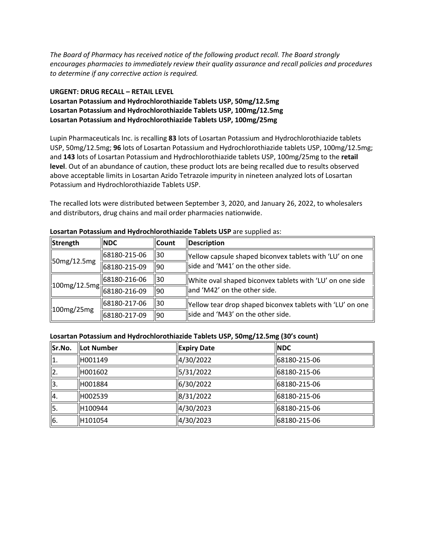*The Board of Pharmacy has received notice of the following product recall. The Board strongly encourages pharmacies to immediately review their quality assurance and recall policies and procedures to determine if any corrective action is required.* 

# **URGENT: DRUG RECALL – RETAIL LEVEL**

# **Losartan Potassium and Hydrochlorothiazide Tablets USP, 50mg/12.5mg Losartan Potassium and Hydrochlorothiazide Tablets USP, 100mg/12.5mg Losartan Potassium and Hydrochlorothiazide Tablets USP, 100mg/25mg**

 Lupin Pharmaceuticals Inc. is recalling **83** lots of Losartan Potassium and Hydrochlorothiazide tablets and **143** lots of Losartan Potassium and Hydrochlorothiazide tablets USP, 100mg/25mg to the **retail level**. Out of an abundance of caution, these product lots are being recalled due to results observed USP, 50mg/12.5mg; **96** lots of Losartan Potassium and Hydrochlorothiazide tablets USP, 100mg/12.5mg; above acceptable limits in Losartan Azido Tetrazole impurity in nineteen analyzed lots of Losartan Potassium and Hydrochlorothiazide Tablets USP.

 The recalled lots were distributed between September 3, 2020, and January 26, 2022, to wholesalers and distributors, drug chains and mail order pharmacies nationwide.

| Strength    | <b>NDC</b>                     | <b>Count</b> | Description                                                                                  |  |
|-------------|--------------------------------|--------------|----------------------------------------------------------------------------------------------|--|
|             | 68180-215-06                   | 130          | Yellow capsule shaped biconvex tablets with 'LU' on one<br>side and 'M41' on the other side. |  |
| 50mg/12.5mg | 68180-215-09                   | 190          |                                                                                              |  |
|             | 68180-216-06                   | 130          | White oval shaped biconvex tablets with 'LU' on one side                                     |  |
|             | ii100mg/12.5mg<br>68180-216-09 | 90           | land 'M42' on the other side.                                                                |  |
| 100mg/25mg  | 68180-217-06                   | 130          | Yellow tear drop shaped biconvex tablets with 'LU' on one                                    |  |
|             | 68180-217-09                   | 190          | side and 'M43' on the other side.                                                            |  |

### **Losartan Potassium and Hydrochlorothiazide Tablets USP** are supplied as:

#### **Losartan Potassium and Hydrochlorothiazide Tablets USP, 50mg/12.5mg (30's count)**

| Sr.No. | <b>Lot Number</b> | <b>Expiry Date</b> | <b>NDC</b>   |
|--------|-------------------|--------------------|--------------|
| ۱1.    | H001149           | 4/30/2022          | 68180-215-06 |
| 12.    | H001602           | 5/31/2022          | 68180-215-06 |
| 3.     | H001884           | 6/30/2022          | 68180-215-06 |
| 4.     | H002539           | 8/31/2022          | 68180-215-06 |
| 5.     | H100944           | 4/30/2023          | 68180-215-06 |
| 6.     | H101054           | 4/30/2023          | 68180-215-06 |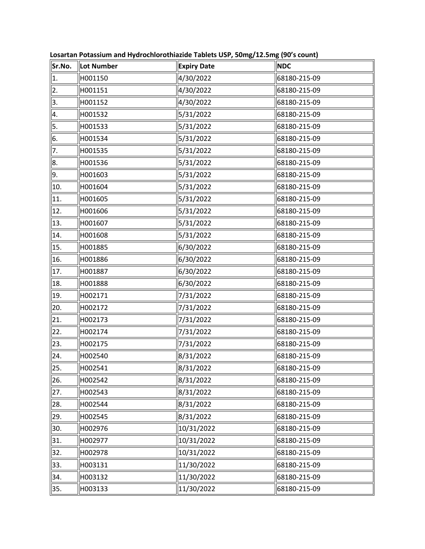| Sr.No. | Lot Number | <b>Expiry Date</b> | <b>NDC</b>   |
|--------|------------|--------------------|--------------|
| 1.     | H001150    | 4/30/2022          | 68180-215-09 |
| 2.     | H001151    | 4/30/2022          | 68180-215-09 |
| 3.     | H001152    | 4/30/2022          | 68180-215-09 |
| 4.     | H001532    | 5/31/2022          | 68180-215-09 |
| 5.     | H001533    | 5/31/2022          | 68180-215-09 |
| 6.     | H001534    | 5/31/2022          | 68180-215-09 |
| 7.     | H001535    | 5/31/2022          | 68180-215-09 |
| 8.     | H001536    | 5/31/2022          | 68180-215-09 |
| 9.     | H001603    | 5/31/2022          | 68180-215-09 |
| 10.    | H001604    | 5/31/2022          | 68180-215-09 |
| 11.    | H001605    | 5/31/2022          | 68180-215-09 |
| 12.    | H001606    | 5/31/2022          | 68180-215-09 |
| 13.    | H001607    | 5/31/2022          | 68180-215-09 |
| 14.    | H001608    | 5/31/2022          | 68180-215-09 |
| 15.    | H001885    | 6/30/2022          | 68180-215-09 |
| 16.    | H001886    | 6/30/2022          | 68180-215-09 |
| 17.    | H001887    | 6/30/2022          | 68180-215-09 |
| 18.    | H001888    | 6/30/2022          | 68180-215-09 |
| 19.    | H002171    | 7/31/2022          | 68180-215-09 |
| 20.    | H002172    | 7/31/2022          | 68180-215-09 |
| 21.    | H002173    | 7/31/2022          | 68180-215-09 |
| 22.    | H002174    | 7/31/2022          | 68180-215-09 |
| 23.    | H002175    | 7/31/2022          | 68180-215-09 |
| 24.    | H002540    | 8/31/2022          | 68180-215-09 |
| 25.    | H002541    | 8/31/2022          | 68180-215-09 |
| 26.    | H002542    | 8/31/2022          | 68180-215-09 |
| 27.    | H002543    | 8/31/2022          | 68180-215-09 |
| 28.    | H002544    | 8/31/2022          | 68180-215-09 |
| 29.    | H002545    | 8/31/2022          | 68180-215-09 |
| 30.    | H002976    | 10/31/2022         | 68180-215-09 |
| 31.    | H002977    | 10/31/2022         | 68180-215-09 |
| 32.    | H002978    | 10/31/2022         | 68180-215-09 |
| 33.    | H003131    | 11/30/2022         | 68180-215-09 |
| 34.    | H003132    | 11/30/2022         | 68180-215-09 |
| 35.    | H003133    | 11/30/2022         | 68180-215-09 |

**Losartan Potassium and Hydrochlorothiazide Tablets USP, 50mg/12.5mg (90's count)**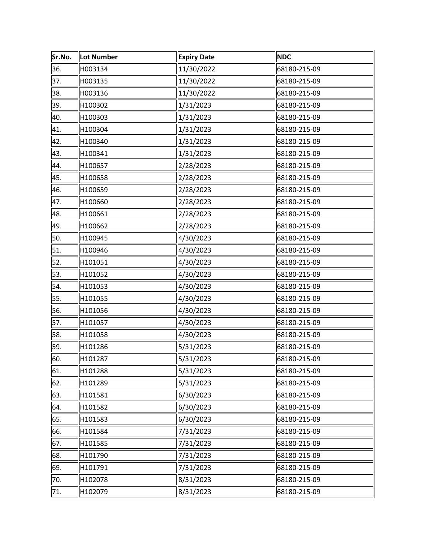| Sr.No. | <b>Lot Number</b> | <b>Expiry Date</b> | <b>NDC</b>   |
|--------|-------------------|--------------------|--------------|
| 36.    | H003134           | 11/30/2022         | 68180-215-09 |
| 37.    | H003135           | 11/30/2022         | 68180-215-09 |
| 38.    | H003136           | 11/30/2022         | 68180-215-09 |
| 39.    | H100302           | 1/31/2023          | 68180-215-09 |
| 40.    | H100303           | 1/31/2023          | 68180-215-09 |
| 41.    | H100304           | 1/31/2023          | 68180-215-09 |
| 42.    | H100340           | 1/31/2023          | 68180-215-09 |
| 43.    | H100341           | 1/31/2023          | 68180-215-09 |
| 44.    | H100657           | 2/28/2023          | 68180-215-09 |
| 45.    | H100658           | 2/28/2023          | 68180-215-09 |
| 46.    | H100659           | 2/28/2023          | 68180-215-09 |
| 47.    | H100660           | 2/28/2023          | 68180-215-09 |
| 48.    | H100661           | 2/28/2023          | 68180-215-09 |
| 49.    | H100662           | 2/28/2023          | 68180-215-09 |
| 50.    | H100945           | 4/30/2023          | 68180-215-09 |
| 51.    | H100946           | 4/30/2023          | 68180-215-09 |
| 52.    | H101051           | 4/30/2023          | 68180-215-09 |
| 53.    | H101052           | 4/30/2023          | 68180-215-09 |
| 54.    | H101053           | 4/30/2023          | 68180-215-09 |
| 55.    | H101055           | 4/30/2023          | 68180-215-09 |
| 56.    | H101056           | 4/30/2023          | 68180-215-09 |
| 57.    | H101057           | 4/30/2023          | 68180-215-09 |
| 58.    | H101058           | 4/30/2023          | 68180-215-09 |
| 59.    | H101286           | 5/31/2023          | 68180-215-09 |
| 60.    | H101287           | 5/31/2023          | 68180-215-09 |
| 61.    | H101288           | 5/31/2023          | 68180-215-09 |
| 62.    | H101289           | 5/31/2023          | 68180-215-09 |
| 63.    | H101581           | 6/30/2023          | 68180-215-09 |
| 64.    | H101582           | 6/30/2023          | 68180-215-09 |
| 65.    | H101583           | 6/30/2023          | 68180-215-09 |
| 66.    | H101584           | 7/31/2023          | 68180-215-09 |
| 67.    | H101585           | 7/31/2023          | 68180-215-09 |
| 68.    | H101790           | 7/31/2023          | 68180-215-09 |
| 69.    | H101791           | 7/31/2023          | 68180-215-09 |
| 70.    | H102078           | 8/31/2023          | 68180-215-09 |
| 71.    | H102079           | 8/31/2023          | 68180-215-09 |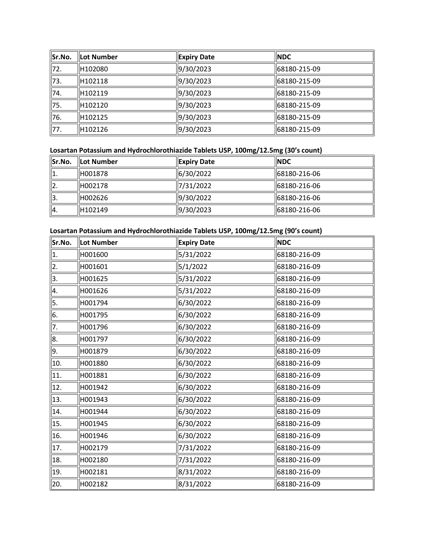| Sr.No. | llLot Number | <b>Expiry Date</b> | <b>NDC</b>   |
|--------|--------------|--------------------|--------------|
| 72.    | H102080      | 9/30/2023          | 68180-215-09 |
| 73.    | IH102118     | 9/30/2023          | 68180-215-09 |
| 74.    | IH102119     | 9/30/2023          | 68180-215-09 |
| 75.    | H102120      | 9/30/2023          | 68180-215-09 |
| 76.    | H102125      | 9/30/2023          | 68180-215-09 |
| 77.    | H102126      | 9/30/2023          | 68180-215-09 |

## **Losartan Potassium and Hydrochlorothiazide Tablets USP, 100mg/12.5mg (30's count)**

| Sr.No.         | <b>ILot Number</b> | Expiry Date | <b>INDC</b>   |
|----------------|--------------------|-------------|---------------|
| 11.            | H001878            | 6/30/2022   | 168180-216-06 |
| $\ 2.$         | H002178            | 7/31/2022   | 168180-216-06 |
| $\parallel$ 3. | H002626            | 9/30/2022   | 168180-216-06 |
| $\parallel$ 4. | lH102149           | 9/30/2023   | 168180-216-06 |

## **Losartan Potassium and Hydrochlorothiazide Tablets USP, 100mg/12.5mg (90's count)**

| Sr.No.  | Lot Number | <b>Expiry Date</b> | <b>NDC</b>   |
|---------|------------|--------------------|--------------|
| 1.      | H001600    | 5/31/2022          | 68180-216-09 |
| 2.      | H001601    | 5/1/2022           | 68180-216-09 |
| 3.      | H001625    | 5/31/2022          | 68180-216-09 |
| 4.      | H001626    | 5/31/2022          | 68180-216-09 |
| 5.      | H001794    | 6/30/2022          | 68180-216-09 |
| 6.      | H001795    | 6/30/2022          | 68180-216-09 |
| 7.      | H001796    | 6/30/2022          | 68180-216-09 |
| 8.      | H001797    | 6/30/2022          | 68180-216-09 |
| 9.      | H001879    | 6/30/2022          | 68180-216-09 |
| 10.     | H001880    | 6/30/2022          | 68180-216-09 |
| $ 11$ . | H001881    | 6/30/2022          | 68180-216-09 |
| 12.     | H001942    | 6/30/2022          | 68180-216-09 |
| 13.     | H001943    | 6/30/2022          | 68180-216-09 |
| 14.     | H001944    | 6/30/2022          | 68180-216-09 |
| 15.     | H001945    | 6/30/2022          | 68180-216-09 |
| 16.     | H001946    | 6/30/2022          | 68180-216-09 |
| 17.     | H002179    | 7/31/2022          | 68180-216-09 |
| 18.     | H002180    | 7/31/2022          | 68180-216-09 |
| 19.     | H002181    | 8/31/2022          | 68180-216-09 |
| 20.     | H002182    | 8/31/2022          | 68180-216-09 |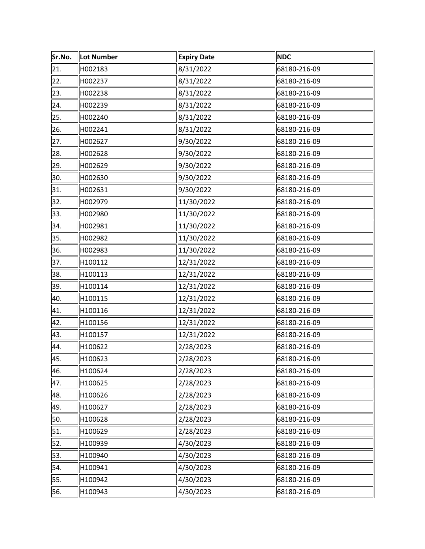| Sr.No. | Lot Number | <b>Expiry Date</b> | <b>NDC</b>   |
|--------|------------|--------------------|--------------|
| 21.    | H002183    | 8/31/2022          | 68180-216-09 |
| 22.    | H002237    | 8/31/2022          | 68180-216-09 |
| 23.    | H002238    | 8/31/2022          | 68180-216-09 |
| 24.    | H002239    | 8/31/2022          | 68180-216-09 |
| 25.    | H002240    | 8/31/2022          | 68180-216-09 |
| 26.    | H002241    | 8/31/2022          | 68180-216-09 |
| 27.    | H002627    | 9/30/2022          | 68180-216-09 |
| 28.    | H002628    | 9/30/2022          | 68180-216-09 |
| 29.    | H002629    | 9/30/2022          | 68180-216-09 |
| 30.    | H002630    | 9/30/2022          | 68180-216-09 |
| 31.    | H002631    | 9/30/2022          | 68180-216-09 |
| 32.    | H002979    | 11/30/2022         | 68180-216-09 |
| 33.    | H002980    | 11/30/2022         | 68180-216-09 |
| 34.    | H002981    | 11/30/2022         | 68180-216-09 |
| 35.    | H002982    | 11/30/2022         | 68180-216-09 |
| 36.    | H002983    | 11/30/2022         | 68180-216-09 |
| 37.    | H100112    | 12/31/2022         | 68180-216-09 |
| 38.    | H100113    | 12/31/2022         | 68180-216-09 |
| 39.    | H100114    | 12/31/2022         | 68180-216-09 |
| 40.    | H100115    | 12/31/2022         | 68180-216-09 |
| 41.    | H100116    | 12/31/2022         | 68180-216-09 |
| 42.    | H100156    | 12/31/2022         | 68180-216-09 |
| 43.    | H100157    | 12/31/2022         | 68180-216-09 |
| 44.    | H100622    | 2/28/2023          | 68180-216-09 |
| 45.    | H100623    | 2/28/2023          | 68180-216-09 |
| 46.    | H100624    | 2/28/2023          | 68180-216-09 |
| 47.    | H100625    | 2/28/2023          | 68180-216-09 |
| 48.    | H100626    | 2/28/2023          | 68180-216-09 |
| 49.    | H100627    | 2/28/2023          | 68180-216-09 |
| 50.    | H100628    | 2/28/2023          | 68180-216-09 |
| 51.    | H100629    | 2/28/2023          | 68180-216-09 |
| 52.    | H100939    | 4/30/2023          | 68180-216-09 |
| 53.    | H100940    | 4/30/2023          | 68180-216-09 |
| 54.    | H100941    | 4/30/2023          | 68180-216-09 |
| 55.    | H100942    | 4/30/2023          | 68180-216-09 |
| 56.    | H100943    | 4/30/2023          | 68180-216-09 |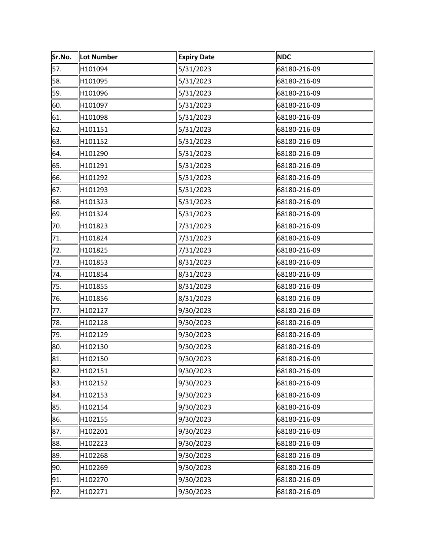| Sr.No. | Lot Number | <b>Expiry Date</b> | <b>NDC</b>   |
|--------|------------|--------------------|--------------|
| 57.    | H101094    | 5/31/2023          | 68180-216-09 |
| 58.    | H101095    | 5/31/2023          | 68180-216-09 |
| 59.    | H101096    | 5/31/2023          | 68180-216-09 |
| 60.    | H101097    | 5/31/2023          | 68180-216-09 |
| 61.    | H101098    | 5/31/2023          | 68180-216-09 |
| 62.    | H101151    | 5/31/2023          | 68180-216-09 |
| 63.    | H101152    | 5/31/2023          | 68180-216-09 |
| 64.    | H101290    | 5/31/2023          | 68180-216-09 |
| 65.    | H101291    | 5/31/2023          | 68180-216-09 |
| 66.    | H101292    | 5/31/2023          | 68180-216-09 |
| 67.    | H101293    | 5/31/2023          | 68180-216-09 |
| 68.    | H101323    | 5/31/2023          | 68180-216-09 |
| 69.    | H101324    | 5/31/2023          | 68180-216-09 |
| 70.    | H101823    | 7/31/2023          | 68180-216-09 |
| 71.    | H101824    | 7/31/2023          | 68180-216-09 |
| 72.    | H101825    | 7/31/2023          | 68180-216-09 |
| 73.    | H101853    | 8/31/2023          | 68180-216-09 |
| 74.    | H101854    | 8/31/2023          | 68180-216-09 |
| 75.    | H101855    | 8/31/2023          | 68180-216-09 |
| 76.    | H101856    | 8/31/2023          | 68180-216-09 |
| 77.    | H102127    | 9/30/2023          | 68180-216-09 |
| 78.    | H102128    | 9/30/2023          | 68180-216-09 |
| 79.    | H102129    | 9/30/2023          | 68180-216-09 |
| 80.    | H102130    | 9/30/2023          | 68180-216-09 |
| 81.    | H102150    | 9/30/2023          | 68180-216-09 |
| 82.    | H102151    | 9/30/2023          | 68180-216-09 |
| 83.    | H102152    | 9/30/2023          | 68180-216-09 |
| 84.    | H102153    | 9/30/2023          | 68180-216-09 |
| 85.    | H102154    | 9/30/2023          | 68180-216-09 |
| 86.    | H102155    | 9/30/2023          | 68180-216-09 |
| 87.    | H102201    | 9/30/2023          | 68180-216-09 |
| 88.    | H102223    | 9/30/2023          | 68180-216-09 |
| 89.    | H102268    | 9/30/2023          | 68180-216-09 |
| 90.    | H102269    | 9/30/2023          | 68180-216-09 |
| 91.    | H102270    | 9/30/2023          | 68180-216-09 |
| 92.    | H102271    | 9/30/2023          | 68180-216-09 |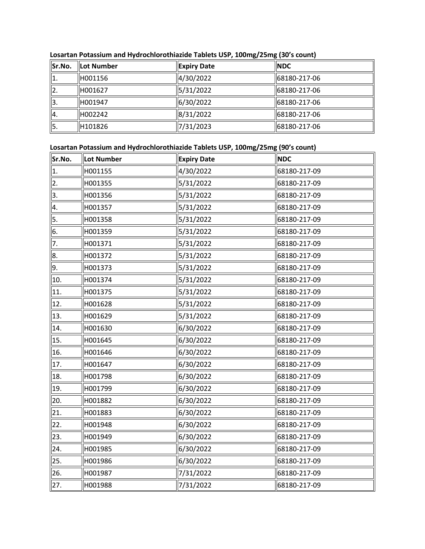| Sr.No.           | <b>ILot Number</b> | <b>Expiry Date</b> | <b>NDC</b>   |
|------------------|--------------------|--------------------|--------------|
| 11.              | IH001156           | 4/30/2022          | 68180-217-06 |
| 12.              | H001627            | 5/31/2022          | 68180-217-06 |
| Iз.              | H001947            | 6/30/2022          | 68180-217-06 |
| $\overline{a}$ . | H002242            | 8/31/2022          | 68180-217-06 |
| 5.               | IH101826           | 7/31/2023          | 68180-217-06 |

 **Losartan Potassium and Hydrochlorothiazide Tablets USP, 100mg/25mg (30's count)** 

## **Losartan Potassium and Hydrochlorothiazide Tablets USP, 100mg/25mg (90's count)**

| Sr.No.     | Lot Number | <b>Expiry Date</b> | <b>NDC</b>   |
|------------|------------|--------------------|--------------|
| $\vert 1.$ | H001155    | 4/30/2022          | 68180-217-09 |
| 2.         | H001355    | 5/31/2022          | 68180-217-09 |
| 3.         | H001356    | 5/31/2022          | 68180-217-09 |
| 4.         | H001357    | 5/31/2022          | 68180-217-09 |
| 5.         | H001358    | 5/31/2022          | 68180-217-09 |
| 6.         | H001359    | 5/31/2022          | 68180-217-09 |
| 7.         | H001371    | 5/31/2022          | 68180-217-09 |
| 8.         | H001372    | 5/31/2022          | 68180-217-09 |
| 9.         | H001373    | 5/31/2022          | 68180-217-09 |
| 10.        | H001374    | 5/31/2022          | 68180-217-09 |
| 11.        | H001375    | 5/31/2022          | 68180-217-09 |
| 12.        | H001628    | 5/31/2022          | 68180-217-09 |
| 13.        | H001629    | 5/31/2022          | 68180-217-09 |
| 14.        | H001630    | 6/30/2022          | 68180-217-09 |
| 15.        | H001645    | 6/30/2022          | 68180-217-09 |
| 16.        | H001646    | 6/30/2022          | 68180-217-09 |
| 17.        | H001647    | 6/30/2022          | 68180-217-09 |
| 18.        | H001798    | 6/30/2022          | 68180-217-09 |
| 19.        | H001799    | 6/30/2022          | 68180-217-09 |
| 20.        | H001882    | 6/30/2022          | 68180-217-09 |
| 21.        | H001883    | 6/30/2022          | 68180-217-09 |
| 22.        | H001948    | 6/30/2022          | 68180-217-09 |
| 23.        | H001949    | 6/30/2022          | 68180-217-09 |
| 24.        | H001985    | 6/30/2022          | 68180-217-09 |
| 25.        | H001986    | 6/30/2022          | 68180-217-09 |
| 26.        | H001987    | 7/31/2022          | 68180-217-09 |
| 27.        | H001988    | 7/31/2022          | 68180-217-09 |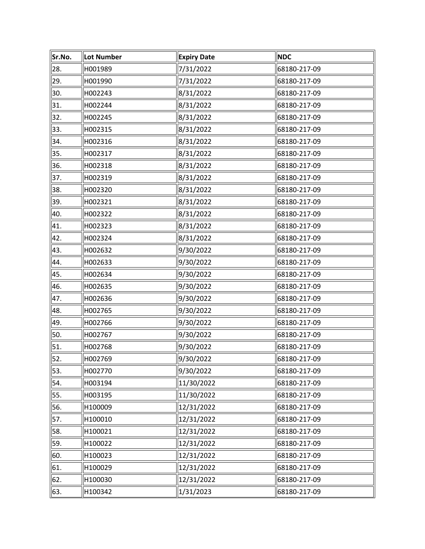| Sr.No. | Lot Number | <b>Expiry Date</b> | <b>NDC</b>   |
|--------|------------|--------------------|--------------|
| 28.    | H001989    | 7/31/2022          | 68180-217-09 |
| 29.    | H001990    | 7/31/2022          | 68180-217-09 |
| 30.    | H002243    | 8/31/2022          | 68180-217-09 |
| 31.    | H002244    | 8/31/2022          | 68180-217-09 |
| 32.    | H002245    | 8/31/2022          | 68180-217-09 |
| 33.    | H002315    | 8/31/2022          | 68180-217-09 |
| 34.    | H002316    | 8/31/2022          | 68180-217-09 |
| 35.    | H002317    | 8/31/2022          | 68180-217-09 |
| 36.    | H002318    | 8/31/2022          | 68180-217-09 |
| 37.    | H002319    | 8/31/2022          | 68180-217-09 |
| 38.    | H002320    | 8/31/2022          | 68180-217-09 |
| 39.    | H002321    | 8/31/2022          | 68180-217-09 |
| 40.    | H002322    | 8/31/2022          | 68180-217-09 |
| 41.    | H002323    | 8/31/2022          | 68180-217-09 |
| 42.    | H002324    | 8/31/2022          | 68180-217-09 |
| 43.    | H002632    | 9/30/2022          | 68180-217-09 |
| 44.    | H002633    | 9/30/2022          | 68180-217-09 |
| 45.    | H002634    | 9/30/2022          | 68180-217-09 |
| 46.    | H002635    | 9/30/2022          | 68180-217-09 |
| 47.    | H002636    | 9/30/2022          | 68180-217-09 |
| 48.    | H002765    | 9/30/2022          | 68180-217-09 |
| 49.    | H002766    | 9/30/2022          | 68180-217-09 |
| 50.    | H002767    | 9/30/2022          | 68180-217-09 |
| 51.    | H002768    | 9/30/2022          | 68180-217-09 |
| 52.    | H002769    | 9/30/2022          | 68180-217-09 |
| 53.    | H002770    | 9/30/2022          | 68180-217-09 |
| 54.    | H003194    | 11/30/2022         | 68180-217-09 |
| 55.    | H003195    | 11/30/2022         | 68180-217-09 |
| 56.    | H100009    | 12/31/2022         | 68180-217-09 |
| 57.    | H100010    | 12/31/2022         | 68180-217-09 |
| 58.    | H100021    | 12/31/2022         | 68180-217-09 |
| 59.    | H100022    | 12/31/2022         | 68180-217-09 |
| 60.    | H100023    | 12/31/2022         | 68180-217-09 |
| 61.    | H100029    | 12/31/2022         | 68180-217-09 |
| 62.    | H100030    | 12/31/2022         | 68180-217-09 |
| 63.    | H100342    | 1/31/2023          | 68180-217-09 |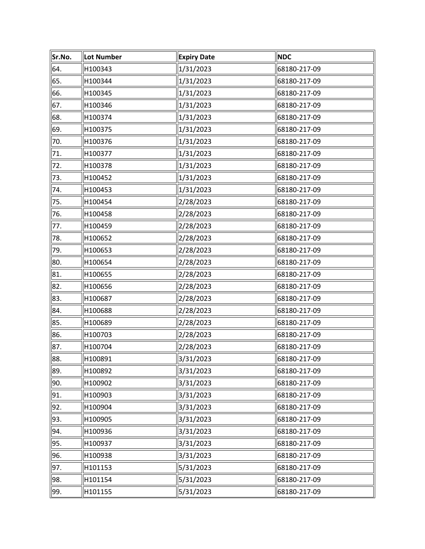| Sr.No. | Lot Number | <b>Expiry Date</b> | <b>NDC</b>   |
|--------|------------|--------------------|--------------|
| 64.    | H100343    | 1/31/2023          | 68180-217-09 |
| 65.    | H100344    | 1/31/2023          | 68180-217-09 |
| 66.    | H100345    | 1/31/2023          | 68180-217-09 |
| 67.    | H100346    | 1/31/2023          | 68180-217-09 |
| 68.    | H100374    | 1/31/2023          | 68180-217-09 |
| 69.    | H100375    | 1/31/2023          | 68180-217-09 |
| 70.    | H100376    | 1/31/2023          | 68180-217-09 |
| 71.    | H100377    | 1/31/2023          | 68180-217-09 |
| 72.    | H100378    | 1/31/2023          | 68180-217-09 |
| 73.    | H100452    | 1/31/2023          | 68180-217-09 |
| 74.    | H100453    | 1/31/2023          | 68180-217-09 |
| 75.    | H100454    | 2/28/2023          | 68180-217-09 |
| 76.    | H100458    | 2/28/2023          | 68180-217-09 |
| 77.    | H100459    | 2/28/2023          | 68180-217-09 |
| 78.    | H100652    | 2/28/2023          | 68180-217-09 |
| 79.    | H100653    | 2/28/2023          | 68180-217-09 |
| 80.    | H100654    | 2/28/2023          | 68180-217-09 |
| 81.    | H100655    | 2/28/2023          | 68180-217-09 |
| 82.    | H100656    | 2/28/2023          | 68180-217-09 |
| 83.    | H100687    | 2/28/2023          | 68180-217-09 |
| 84.    | H100688    | 2/28/2023          | 68180-217-09 |
| 85.    | H100689    | 2/28/2023          | 68180-217-09 |
| 86.    | H100703    | 2/28/2023          | 68180-217-09 |
| 87.    | H100704    | 2/28/2023          | 68180-217-09 |
| 88.    | H100891    | 3/31/2023          | 68180-217-09 |
| 89.    | H100892    | 3/31/2023          | 68180-217-09 |
| 90.    | H100902    | 3/31/2023          | 68180-217-09 |
| 91.    | H100903    | 3/31/2023          | 68180-217-09 |
| 92.    | H100904    | 3/31/2023          | 68180-217-09 |
| 93.    | H100905    | 3/31/2023          | 68180-217-09 |
| 94.    | H100936    | 3/31/2023          | 68180-217-09 |
| 95.    | H100937    | 3/31/2023          | 68180-217-09 |
| 96.    | H100938    | 3/31/2023          | 68180-217-09 |
| 97.    | H101153    | 5/31/2023          | 68180-217-09 |
| 98.    | H101154    | 5/31/2023          | 68180-217-09 |
| 99.    | H101155    | 5/31/2023          | 68180-217-09 |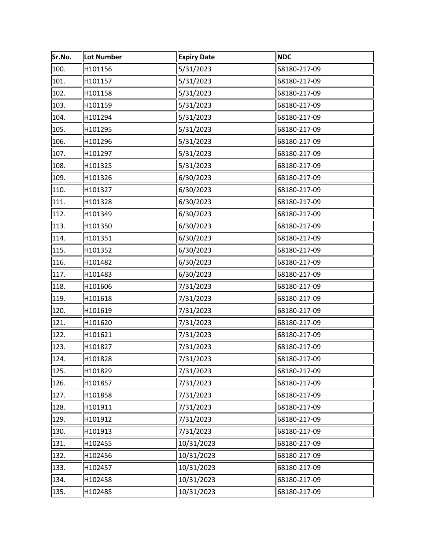| Sr.No. | Lot Number | <b>Expiry Date</b> | <b>NDC</b>   |
|--------|------------|--------------------|--------------|
| 100.   | H101156    | 5/31/2023          | 68180-217-09 |
| 101.   | H101157    | 5/31/2023          | 68180-217-09 |
| 102.   | H101158    | 5/31/2023          | 68180-217-09 |
| 103.   | H101159    | 5/31/2023          | 68180-217-09 |
| 104.   | H101294    | 5/31/2023          | 68180-217-09 |
| 105.   | H101295    | 5/31/2023          | 68180-217-09 |
| 106.   | H101296    | 5/31/2023          | 68180-217-09 |
| 107.   | H101297    | 5/31/2023          | 68180-217-09 |
| 108.   | H101325    | 5/31/2023          | 68180-217-09 |
| 109.   | H101326    | 6/30/2023          | 68180-217-09 |
| 110.   | H101327    | 6/30/2023          | 68180-217-09 |
| 111.   | H101328    | 6/30/2023          | 68180-217-09 |
| 112.   | H101349    | 6/30/2023          | 68180-217-09 |
| 113.   | H101350    | 6/30/2023          | 68180-217-09 |
| 114.   | H101351    | 6/30/2023          | 68180-217-09 |
| 115.   | H101352    | 6/30/2023          | 68180-217-09 |
| 116.   | H101482    | 6/30/2023          | 68180-217-09 |
| 117.   | H101483    | 6/30/2023          | 68180-217-09 |
| 118.   | H101606    | 7/31/2023          | 68180-217-09 |
| 119.   | H101618    | 7/31/2023          | 68180-217-09 |
| 120.   | H101619    | 7/31/2023          | 68180-217-09 |
| 121.   | H101620    | 7/31/2023          | 68180-217-09 |
| 122.   | H101621    | 7/31/2023          | 68180-217-09 |
| 123.   | H101827    | 7/31/2023          | 68180-217-09 |
| 124.   | H101828    | 7/31/2023          | 68180-217-09 |
| 125.   | H101829    | 7/31/2023          | 68180-217-09 |
| 126.   | H101857    | 7/31/2023          | 68180-217-09 |
| 127.   | H101858    | 7/31/2023          | 68180-217-09 |
| 128.   | H101911    | 7/31/2023          | 68180-217-09 |
| 129.   | H101912    | 7/31/2023          | 68180-217-09 |
| 130.   | H101913    | 7/31/2023          | 68180-217-09 |
| 131.   | H102455    | 10/31/2023         | 68180-217-09 |
| 132.   | H102456    | 10/31/2023         | 68180-217-09 |
| 133.   | H102457    | 10/31/2023         | 68180-217-09 |
| 134.   | H102458    | 10/31/2023         | 68180-217-09 |
| 135.   | H102485    | 10/31/2023         | 68180-217-09 |